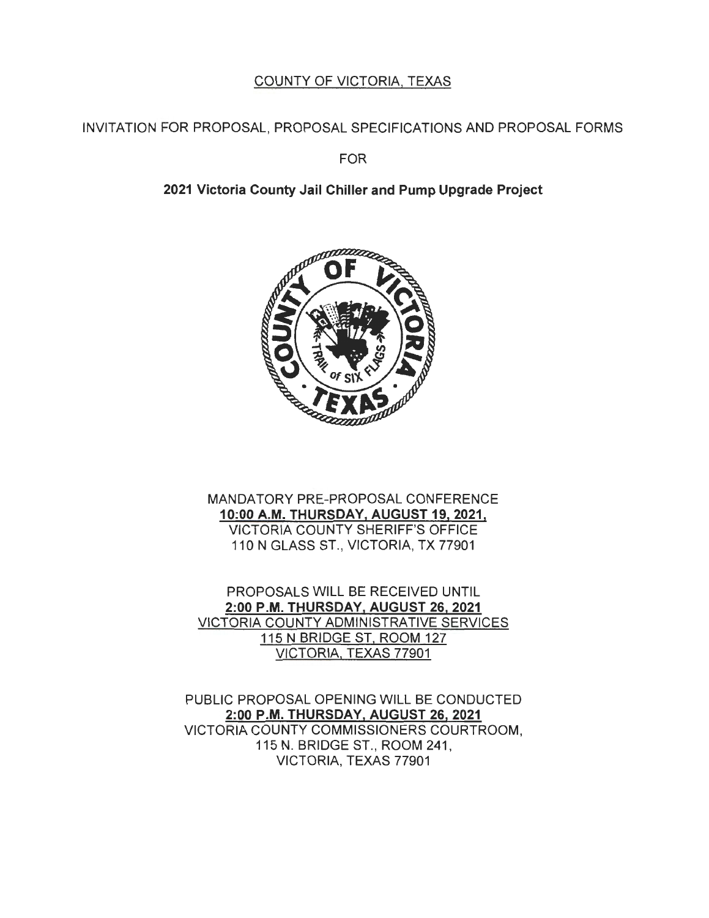# COUNTY OF VICTORIA, TEXAS

## INVITATION FOR PROPOSAL, PROPOSAL SPECIFICATIONS AND PROPOSAL FORMS

FOR

# **2021 Victoria County Jail Chiller and Pump Upgrade Project**



MANDATORY PRE-PROPOSAL CONFERENCE **10:00 A.M. THURSDAY, AUGUST 19, 2021** <sup>I</sup> VICTORIA COUNTY SHERIFF'S OFFICE 110 N GLASS ST., VICTORIA, TX 77901

PROPOSALS WILL BE RECEIVED UNTIL **2:00 P.M. THURSDAY, AUGUST 26, 2021**  VICTORIA COUNTY ADMINISTRATIVE SERVICES 115 N BRIDGE ST, ROOM 127 VICTORIA, TEXAS 77901

PUBLIC PROPOSAL OPENING WILL BE CONDUCTED **2:00 P .M. THURSDAY, AUGUST 26, 2021**  VICTORIA COUNTY COMMISSIONERS COURTROOM, 115 N. BRIDGE ST. , ROOM 241 , VICTORIA, TEXAS 77901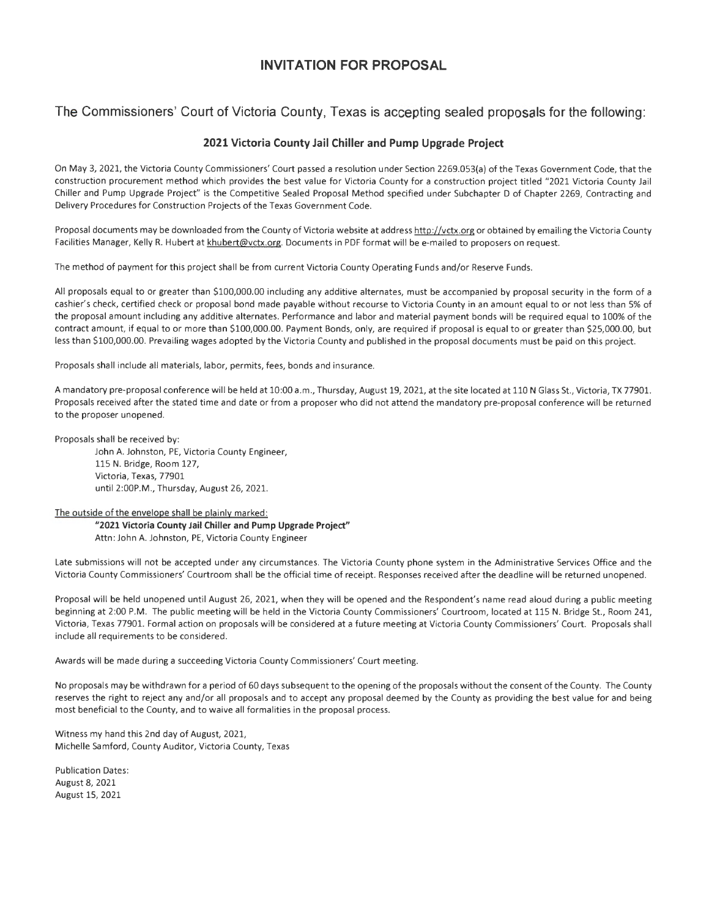### **INVITATION FOR PROPOSAL**

**The Commissioners' Court of Victoria County, Texas is accepting sealed proposals for the following:** 

#### **2021 Victoria County Jail Chiller and Pump Upgrade Project**

On May 3, 2021, the Victoria County Commissioners' Court passed a resolution under Section 2269.053{a) of the Texas Government Code, that the construction procurement method which provides the best value for Victoria County for a construction project titled "2021 Victoria County Jail Chiller and Pump Upgrade Project" is the Competitive Sealed Proposal Method specified under Subchapter D of Chapter 2269, Contracting and Delivery Procedures for Construction Projects of the Texas Government Code.

Proposal documents may be downloaded from the County of Victoria website at address http://vctx.org or obtained by emailing the Victoria County Facilities Manager, Kelly R. Hubert at khubert@vctx.org. Documents in PDF format will be e-mailed to proposers on request.

The method of payment for this project shall be from current Victoria County Operating Funds and/or Reserve Funds.

All proposals equal to or greater than \$100,000.00 including any additive alternates, must be accompanied by proposal security in the form of a cashier's check, certified check or proposal bond made payable without recourse to Victoria County in an amount equal to or not less than S% of the proposal amount including any additive alternates. Performance and labor and material payment bonds will be required equal to 100% of the contract amount, if equal to or more than \$100,000.00. Payment Bonds, only, are required if proposal is equal to or greater than \$25,000.00, but less than \$100,000.00. Prevailing wages adopted by the Victoria County and published in the proposal documents must be paid on this project.

Proposals shall include all materials, labor, permits, fees, bonds and insurance.

A mandatory pre-proposal conference will be held at 10:00 a.m., Thursday, August 19, 2021, at the site located at 110 N Glass St., Victoria, TX 77901. Proposals received after the stated time and date or from a proposer who did not attend the mandatory pre-proposal conference will be returned to the proposer unopened.

Proposals shall be received by:

John A. Johnston, PE, Victoria County Engineer, 115 N. Bridge, Room 127, Victoria, Texas, 77901 until 2:00P.M., Thursday, August 26, 2021.

The outside of the envelope shall be plainly marked:

**"2021 Victoria County Jail Chiller and Pump Upgrade Project"**  Attn: John A. Johnston, PE, Victoria County Engineer

Late submissions will not be accepted under any circumstances. The Victoria County phone system in the Administrative Services Office and the Victoria County Commissioners' Courtroom shall be the official time of receipt. Responses received after the deadline will be returned unopened.

Proposal will be held unopened until August 26, 2021, when they will be opened and the Respondent's name read aloud during a public meeting beginning at 2:00 P.M. The public meeting will be held in the Victoria County Commissioners' Courtroom, located at 115 N. Bridge St., Room 241, Victoria, Texas 77901. Formal action on proposals will be considered at a future meeting at Victoria County Commissioners' Court. Proposals shall include all requirements to be considered.

Awards will be made during a succeeding Victoria County Commissioners' Court meeting.

No proposals may be withdrawn for a period of 60 days subsequent to the opening of the proposals without the consent of the County. The County reserves the right to reject any and/or all proposals and to accept any proposal deemed by the County as providing the best value for and being most beneficial to the County, and to waive all formalities in the proposal process.

Witness my hand this 2nd day of August, 2021, Michelle Samford, County Auditor, Victoria County, Texas

Publication Dates: August 8, 2021 August 15, 2021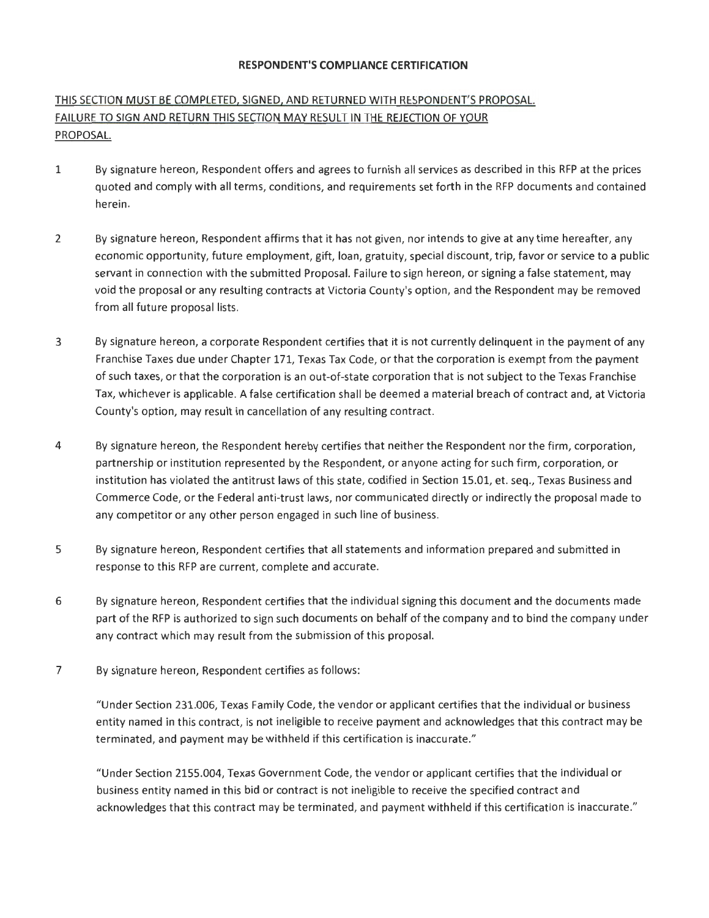#### **RESPONDENT'S COMPLIANCE CERTIFICATION**

## THIS SECTION MUST BE COMPLETED, SIGNED, AND RETURNED WITH RESPONDENT'S PROPOSAL. FAILURE TO SIGN AND RETURN THIS SECTION MAY RESULT IN THE REJECTION OF YOUR PROPOSAL.

- 1 By signature hereon, Respondent offers and agrees to furnish all services as described in this RFP at the prices quoted and comply with all terms, conditions, and requirements set forth in the RFP documents and contained herein.
- 2 By signature hereon, Respondent affirms that it has not given, nor intends to give at any time hereafter, any economic opportunity, future employment, gift, loan, gratuity, special discount, trip, favor or service to a public servant in connection with the submitted Proposal. Failure to sign hereon, or signing a false statement, may void the proposal or any resulting contracts at Victoria County's option, and the Respondent may be removed from all future proposal lists.
- 3 By signature hereon, a corporate Respondent certifies that it is not currently delinquent in the payment of any Franchise Taxes due under Chapter 171, Texas Tax Code, or that the corporation is exempt from the payment of such taxes, or that the corporation is an out-of-state corporation that is not subject to the Texas Franchise Tax, whichever is applicable. A false certification shall be deemed a material breach of contract and, at Victoria County's option, may result in cancellation of any resulting contract.
- 4 By signature hereon, the Respondent hereby certifies that neither the Respondent nor the firm, corporation, partnership or institution represented by the Respondent, or anyone acting for such firm, corporation, or institution has violated the antitrust laws of this state, codified in Section 15.01, et. seq., Texas Business and Commerce Code, or the Federal anti-trust laws, nor communicated directly or indirectly the proposal made to any competitor or any other person engaged in such line of business.
- 5 By signature hereon, Respondent certifies that all statements and information prepared and submitted in response to this RFP are current, complete and accurate.
- 6 By signature hereon, Respondent certifies that the individual signing this document and the documents made part of the RFP is authorized to sign such documents on behalf of the company and to bind the company under any contract which may result from the submission of this proposal.
- 7 By signature hereon, Respondent certifies as follows:

"Under Section 231.006, Texas Family Code, the vendor or applicant certifies that the individual or business entity named in this contract, is not ineligible to receive payment and acknowledges that this contract may be terminated, and payment may be withheld if this certification is inaccurate."

"Under Section 2155.004, Texas Government Code, the vendor or applicant certifies that the individual or business entity named in this bid or contract is not ineligible to receive the specified contract and acknowledges that this contract may be terminated, and payment withheld if this certification is inaccurate."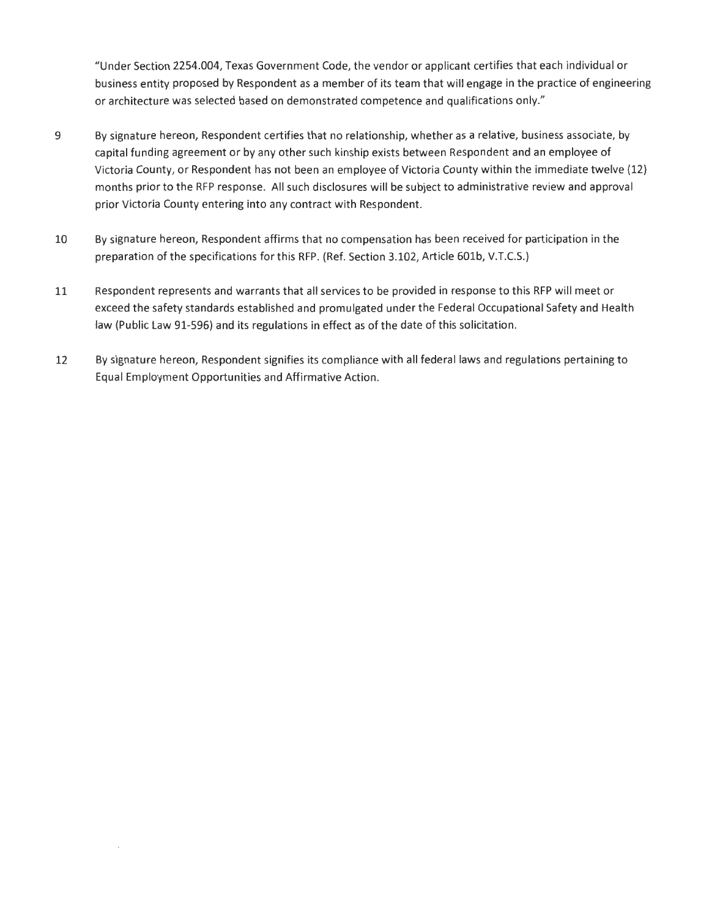"Under Section 2254.004, Texas Government Code, the vendor or applicant certifies that each individual or business entity proposed by Respondent as a member of its team that will engage in the practice of engineering or architecture was selected based on demonstrated competence and qualifications only."

- 9 By signature hereon, Respondent certifies that no relationship, whether as a relative, business associate, by capital funding agreement or by any other such kinship exists between Respondent and an employee of Victoria County, or Respondent has not been an employee of Victoria County within the immediate twelve (12) months prior to the RFP response. All such disclosures will be subject to administrative review and approval prior Victoria County entering into any contract with Respondent.
- 10 By signature hereon, Respondent affirms that no compensation has been received for participation in the preparation of the specifications for this RFP. (Ref. Section 3.102, Article 60lb, V.T.C.S.)
- 11 Respondent represents and warrants that all services to be provided in response to this RFP will meet or exceed the safety standards established and promulgated under the Federal Occupational Safety and Health law (Public Law 91-596) and its regulations in effect as of the date of this solicitation.
- 12 By signature hereon, Respondent signifies its compliance with all federal laws and regulations pertaining to Equal Employment Opportunities and Affirmative Action.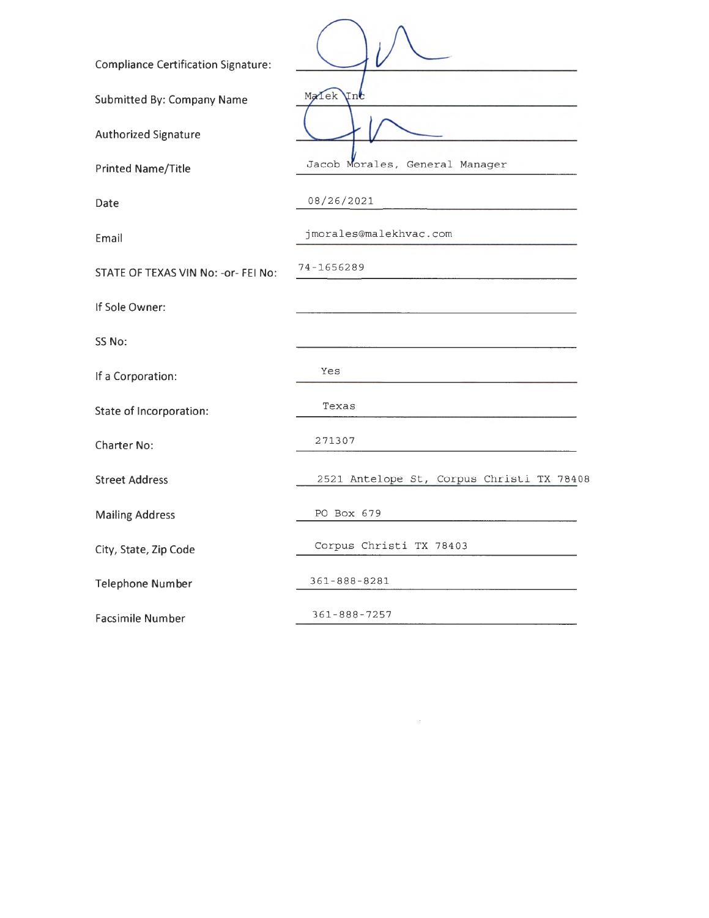| <b>Compliance Certification Signature:</b> |                                           |
|--------------------------------------------|-------------------------------------------|
| <b>Submitted By: Company Name</b>          | Malek<br>Inc                              |
| Authorized Signature                       |                                           |
| <b>Printed Name/Title</b>                  | Jacob Morales, General Manager            |
| Date                                       | 08/26/2021                                |
| Email                                      | jmorales@malekhvac.com                    |
| STATE OF TEXAS VIN No: - or- FEI No:       | 74-1656289                                |
| If Sole Owner:                             |                                           |
| SS No:                                     |                                           |
| If a Corporation:                          | Yes                                       |
| State of Incorporation:                    | Texas                                     |
| Charter No:                                | 271307                                    |
| <b>Street Address</b>                      | 2521 Antelope St, Corpus Christi TX 78408 |
| <b>Mailing Address</b>                     | PO Box 679                                |
| City, State, Zip Code                      | Corpus Christi TX 78403                   |
| <b>Telephone Number</b>                    | 361-888-8281                              |
| <b>Facsimile Number</b>                    | $361 - 888 - 7257$                        |
|                                            |                                           |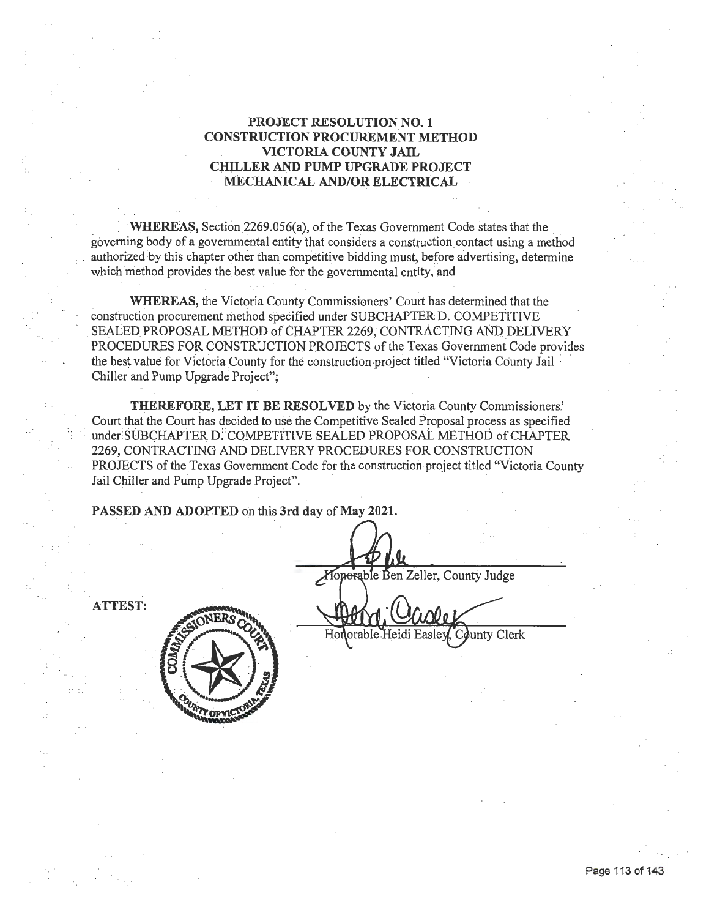#### **PROJECT RESOLUTION NO. 1 CONSTRUCTION PROCUREMENT METHOD VICTORIA COUNTY JAIL ClULLER AND PUMP UPGRADE PROJECT MECHANICAL AND/OR ELECTRICAL**

WHEREAS, Section 2269.056(a), of the Texas Government Code states that the governing body of a governmental entity that considers a construction contact using a method authorized by this chapter other than competitive bidding must, before advertising, determine which method provides the best value for the governmental entity, and

**WHEREAS,** the Victoria County Commissioners' Court has determined that the construction procurement method specified under SUBCHAPTER D. COMPETITIVE SEALED PROPOSAL METHOD of CHAPTER 2269, CONTRACTING AND DELIVERY PROCEDURES FOR CONSTRUCTION PROJECTS of the Texas Government Code provides the best value for Victoria County for the construction project titled "Victoria County Jail Chiller and Pump Upgrade Project";

**THEREFORE, LET IT BE RESOLVED** by the Victoria County Commissioners.' Court that the Court has decided to use the Competitive Sealed Proposal process as specified < under SUB CHAPTER **D:** COMPETITIVE SEALED PROPOSAL METHOD of CHAPTER 2269, CONtRACTING AND.DELIVERY PROCEDURES FOR CONSTRUCTION PROJECTS of the Texas Government. Code for the construction project titled "Victoria County Jail Chiller and Pump Upgrade Project".

PASSED AND ADOPTED on this 3rd day of May 2021.

Moporable Ben Zeller, County Judge

**ATTEST:** 



County Clerk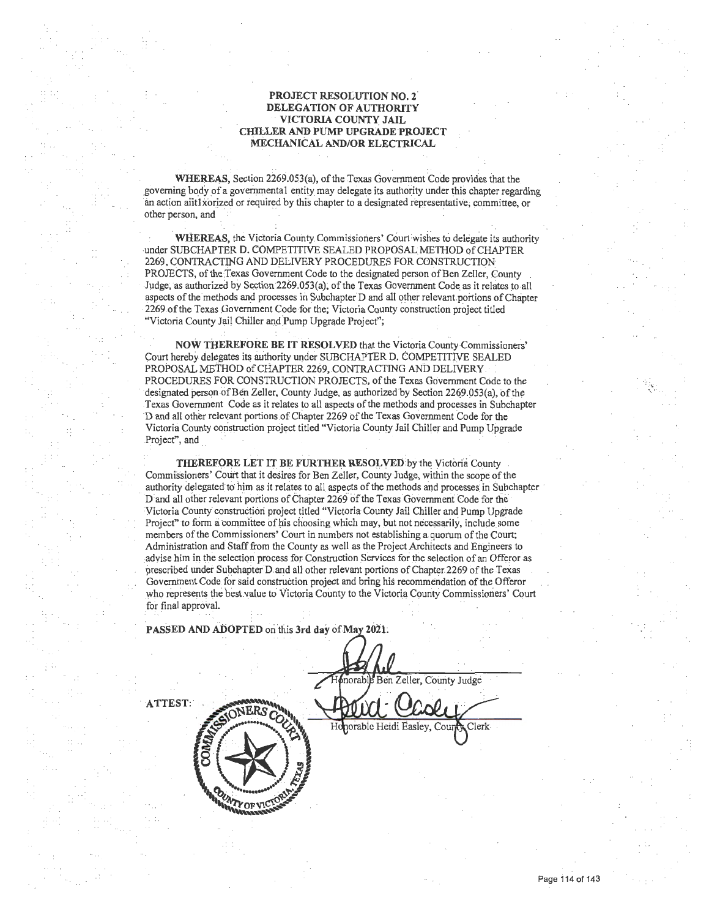#### **PROJECT RESOLUTION NO. 2 DELEGATION OF AUTHORITY VICTORIA COUNTY JAIL CHILLER AND PUMP UPGRADE PROJECT** . **MECHANICAL AND/OR ELECTRICAL**

**WHEREAS, Section 2269.053(a), of the Texas Government Code provides that the** governing body of a governmental entity may delegate its authority under this chapter regarding in action aiitl xorized or required by this chapter to a designated representative; committee, or other person, and

**WHEREAS, the Victoria County Commissioners' Court wishes to delegate its authority** under SUBCHAPTER D. COMPETITIVE SEALED PROPOSAL METHOD of CHAPTER 2269, CONTRACTING AND DELIVERY PROCEDURES FOR CONSTRUCTION PROJECTS, of the Texas Government Code to the designated person of Ben Zeller, County Judge; as authorized by Section 2269.053(a); of the Texas Government Code as it relates to all aspects of the methods and processes in Subchapter D and all other relevant portions of Chapter 2269 of the Texas Government Code for the; Victoria County construction project titled "Victoria County Jail Chiller and Pump Upgrade Project";

**NOW THEREFORE BE IT RESOLVED** that the Victoria County Commissioners' Court hereby delegates its authority under SUBCHAPTER D. COMPETITIVE SEALED PROPOSAL METHOD of CHAPTER 2269, CONTRACTING AND DELIVERY PROCEDURES FOR CONSTRUCTION PROJECTS, of the Texas Government Code to the designated person of Ben Zeller, County Judge, as authorized by Section 2269.053(a), of the Texas Government Code as it relates to all aspects of the methods· and processes in Subchapter D and all other relevant portions of Chapter 2269 of the Texas Government Code for the Victoria County construction project titled "Victoria County Jail Chiller and Pump Upgrade Project", and

**THEREFORE LET IT BE FURTHER RESOLVED** by the Victoria County Commissioners' Court that it desires for Ben Zeller, County Judge, within the scope of the authority delegated to him as it relates to all aspects of the methods and processes in Subchapter D and all other relevant portions of Chapter 2269 of the Texas Government Code for the Victoria County construction project titled "Victoria County Jail Chiller and Pump Upgrade Project" to form a committee of his choosing which may, but not necessarily, include some members of the Commissioners' Court in numbers not establishing a quorum of the Court; Admihistration and Staff from the County as well as the Project Architects and Engineers to advise him in the selection process for Construction Services for the selection of an Offeror as prescribed under Subchapter D and all other relevant portions of Chapter 2269 of the Texas Goveminent Code.for said construction project and bring his recommendation of the Offeror who represents the best value to Victoria County to the Victoria County Commissioners' Court for final approval.

PASSED AND ADOPTED on this 3rd day of May 2021.

.. .

Ben Zeller, County Judge **ATTEST:** Honorable Heidi Easley, Cour **ATY OF VICT** 

Clerk

 $\mathcal{F}^{\mathcal{F}}$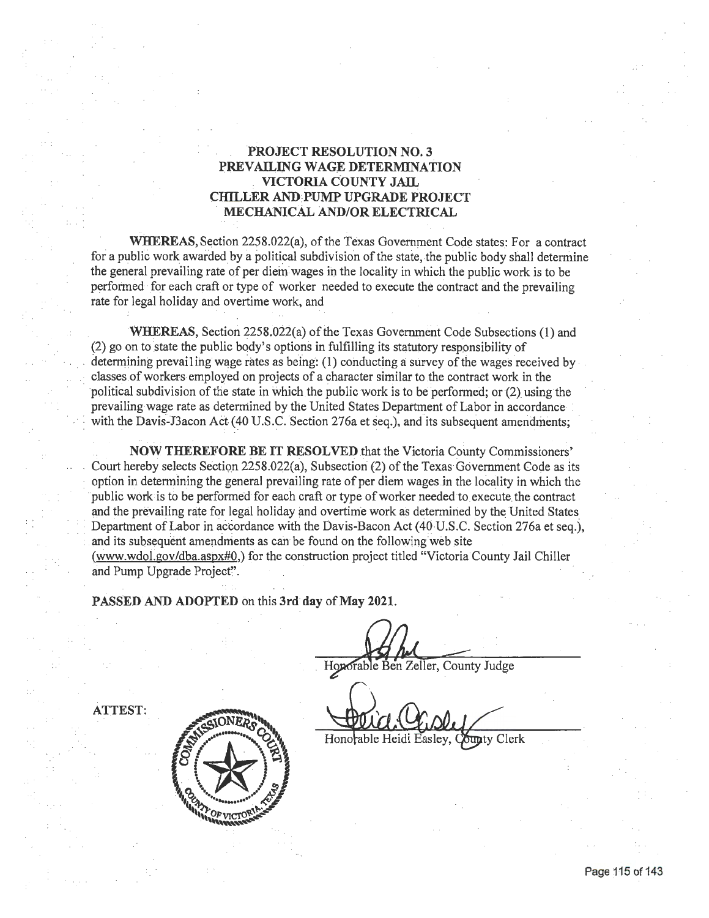#### **PROJECT RESOLUTION NO. 3 PREVAILING WAGE DETERMINATION VICTORIA COUNTY JAIL CH1LLER AND:PUMP UPGRADE PROJECT**  --**MECHANICAL AND/OR ELECTRICAL**

WHEREAS, Section 2258.022(a), of the Texas Government Code states: For a contract for a public work awarded by a political subdivision of the state, the public body shall determine the general prevailing rate of per diem wages in the locality in which the public work is to be performed -for each craft or type of worker needed to execute the contract and the prevailing rate for legal holiday and overtime work, and

**WHEREAS, Section 2258.022(a) of the Texas Government Code Subsections (1) and .**  $(2)$  go on to state the public body's options in fulfilling its statutory responsibility of determining prevailing wage rates as being:  $(1)$  conducting a survey of the wages received by  $$ classes of workers employed on projects of a character similar to the contract work in the political subdivision of the state in which the public work is to be performed; or (2) using the prevailing wage rate as determined by the United States Department of Labor in accordance with the Davis-J3acon Act (40 U.S.C. Section 276a et seq.), and its subsequent amendments;

**NOW THEREFORE BE IT RESOLVED** that the Victoria County Commissioners' Court hereby selects Section 2258.022(a), Subsection (2) of the Texas Government Code as its option in determining the general prevailing rate of per diem wages in the locality in which the public work is fo be performed for each craft or type of worker needed to execute\_ the contract and the prevailing rate for legal holiday and overtime work as determined by the United States Department of Labor in accordance with the Davis-Bacon Act (40 U.S.C. Section 276a et seq.), and its subsequent amendments as can be found on the following web site (www.wdol.gov/dba.aspx#0,) for the construction project titled "Victoria County Jail Chiller and Pump Upgrade Project".

**PASSED AND ADOPTED** on this **3rd day of May 2021.** 

Hoporable Ben Zeller, County Judge

**ATTEST:** 



Honorable Heidi Easley, County Clerk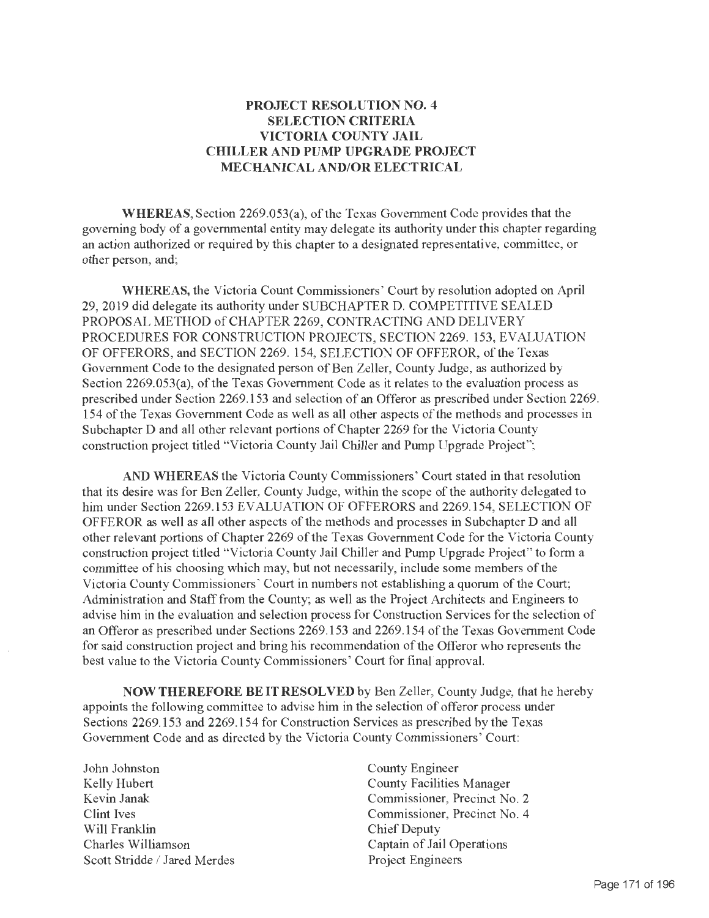### PROJECT RESOLUTION NO. 4 SELECTION CRITERIA VICTORIA COUNTY JAIL CHILLER AND PUMP UPGRADE PROJECT MECHANICAL AND/OR ELECTRICAL

WHEREAS, Section 2269.053(a), of the Texas Government Code provides that the governing body of a governmental entity may delegate its authority under this chapter regarding an action authorized or required by this chapter to a designated representative, committee, or other person, and;

WHEREAS, the Victoria Count Commissioners' Court by resolution adopted on April 29, 2019 did delegate its authority under SUBCHAPTER D. COMPETITIVE SEALED PROPOSAL METHOD of CHAPTER 2269, CONTRACTING AND DELIVERY PROCEDURES FOR CONSTRUCTION PROJECTS, SECTION 2269. 153, EVALUATION OF OFFERORS, and SECTION 2269. 154, SELECTION OF OFFEROR, of the Texas Government Code to the designated person of Ben Zeller, County Judge, as authorized by Section 2269.053(a), of the Texas Government Code as it relates to the evaluation process as prescribed under Section 2269 .153 and selection of an Offeror as prescribed under Section 2269. 154 of the Texas Government Code as well as all other aspects of the methods and processes in Subchapter D and all other relevant portions of Chapter 2269 for the Victoria County construction project titled "Victoria County Jail Chiller and Pump Upgrade Project";

AND WHEREAS the Victoria County Commissioners' Court stated in that resolution that its desire was for Ben Zeller, County Judge, within the scope of the authority delegated to him under Section 2269.153 EVALUATION OF OFFERORS and 2269.154, SELECTION OF OFFEROR as well as all other aspects of the methods and processes in Subchapter D and all other relevant portions of Chapter 2269 of the Texas Government Code for the Victoria County construction project titled "Victoria County Jail Chiller and Pump Upgrade Project" to form a committee of his choosing which may, but not necessarily, include some members of the Victoria County Commissioners' Court in numbers not establishing a quorum of the Court; Administration and Staff from the County; as well as the Project Architects and Engineers to advise him in the evaluation and selection process for Construction Services for the selection of an Offeror as prescribed under Sections 2269 .153 and 2269 .154 of the Texas Government Code for said construction project and bring his recommendation of the Offeror who represents the best value to the Victoria County Commissioners' Court for final' approval.

NOW THEREFORE BE IT RESOLVED by Ben Zeller, County Judge, that he hereby appoints the following committee to advise him in the selection of offeror process under Sections 2269.153 and 2269.154 for Construction Services as prescribed by the Texas Government Code and as directed by the Victoria County Commissioners' Court:

John Johnston Kelly Hubert Kevin Janak Clint Ives Will Franklin Charles Williamson Scott Stridde / Jared Merdes County Engineer County Facilities Manager Commissioner, Precinct No. 2 Commissioner, Precinct No. 4 Chief Deputy Captain of Jail Operations Project Engineers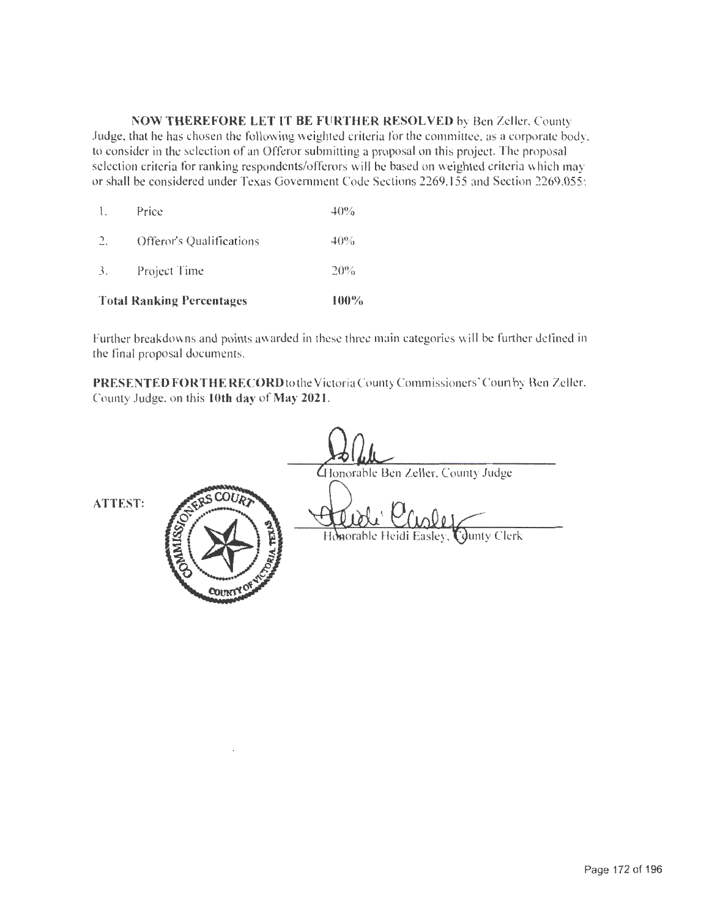**NOW THEREFORE LET IT BE FURTHER RESOLVED** by Ben Zeller, County Judge, that he has chosen the following weighted criteria for the committee, as a corporate body. to consider in the selection of an Offeror submitting a proposal on this project. The proposal selection criteria for ranking respondents/offerors will be based on weighted criteria which may or shall be considered under Texas Government Code Sections 2269.155 and Section 2269.055:

|                | <b>Total Ranking Percentages</b> | 100%   |
|----------------|----------------------------------|--------|
| 3.             | Project Time                     | 20%    |
| 2.             | Offeror's Qualifications         | 40%    |
| $\mathbf{1}$ . | Price                            | $40\%$ |

Further breakdowns and points awarded in these three main categories will be further defined in the final proposal documents.

PRESENTED FOR THE RECORD to the Victoria County Commissioners' Court by Ben Zeller. County Judge. on this **10th day of May 2021 .** 

Honorable Ben Zeller, County Judge Honorable Heidi Easley, County Clerk COUNT

**ATTEST:**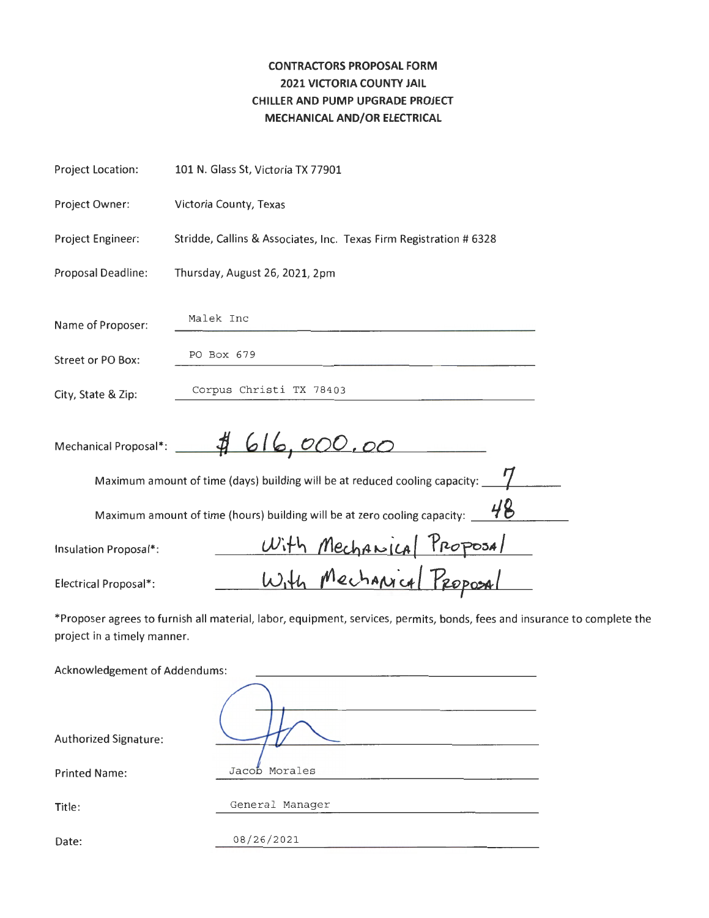## **CONTRACTORS PROPOSAL FORM 2021 VICTORIA COUNTY JAIL CHILLER AND PUMP UPGRADE PROJECT MECHANICAL AND/OR ELECTRICAL**

| Project Location:             | 101 N. Glass St, Victoria TX 77901                                                                                       |
|-------------------------------|--------------------------------------------------------------------------------------------------------------------------|
| Project Owner:                | Victoria County, Texas                                                                                                   |
| Project Engineer:             | Stridde, Callins & Associates, Inc. Texas Firm Registration # 6328                                                       |
| Proposal Deadline:            | Thursday, August 26, 2021, 2pm                                                                                           |
| Name of Proposer:             | Malek Inc                                                                                                                |
| Street or PO Box:             | PO Box 679                                                                                                               |
| City, State & Zip:            | Corpus Christi TX 78403                                                                                                  |
|                               | Mechanical Proposal*: 4616,000.00                                                                                        |
|                               | Maximum amount of time (days) building will be at reduced cooling capacity: ___                                          |
|                               | Maximum amount of time (hours) building will be at zero cooling capacity: $\underline{\phantom{a}'}$                     |
| Insulation Proposal*:         | With Mechanical Proposal                                                                                                 |
| <b>Electrical Proposal*:</b>  |                                                                                                                          |
| project in a timely manner.   | *Proposer agrees to furnish all material, labor, equipment, services, permits, bonds, fees and insurance to complete the |
| Acknowledgement of Addendums: |                                                                                                                          |
| Authorized Signature:         |                                                                                                                          |
|                               | Jacob Morales                                                                                                            |
| <b>Printed Name:</b>          |                                                                                                                          |
| Title:                        | General Manager                                                                                                          |
| Date:                         | 08/26/2021                                                                                                               |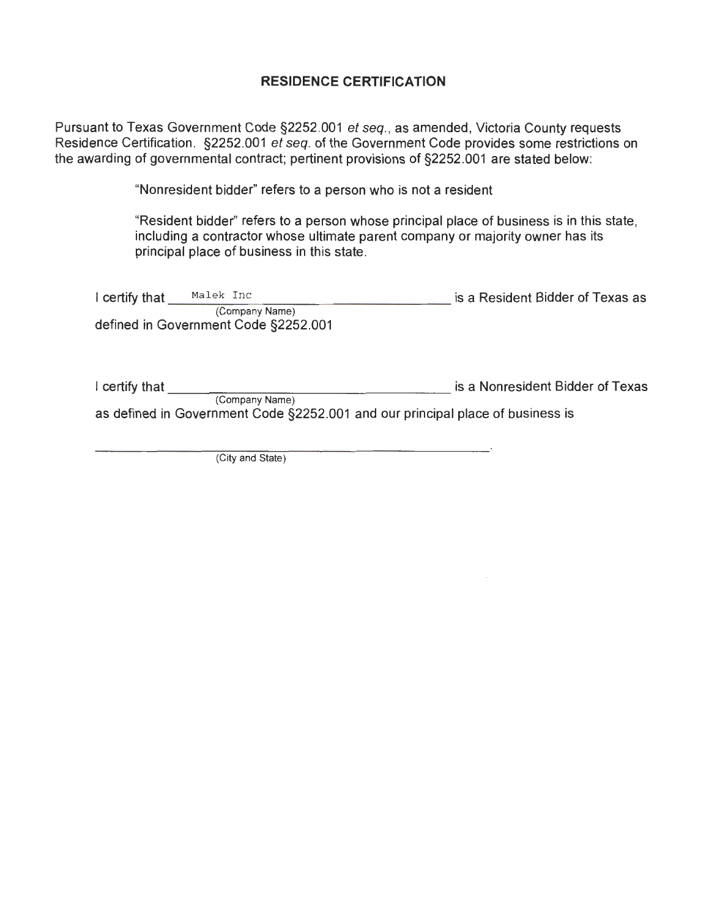### **RESIDENCE CERTIFICATION**

Pursuant to Texas Government Code §2252.001 et seq. , as amended, Victoria County requests Residence Certification. §2252.001 et seq. of the Government Code provides some restrictions on the awarding of governmental contract; pertinent provisions of §2252.001 are stated below:

"Nonresident bidder" refers to a person who is not a resident

"Resident bidder'' refers to a person whose principal place of business is in this state, including a contractor whose ultimate parent company or majority owner has its principal place of business in this state.

| I certify that | Malek Inc                            | is a Resident Bidder of Texas as |
|----------------|--------------------------------------|----------------------------------|
|                | (Company Name)                       |                                  |
|                | defined in Government Code §2252.001 |                                  |

I certify that **I certify that I** certify that (Company Name) as defined in Government Code §2252.001 and our principal place of business is

(City and State)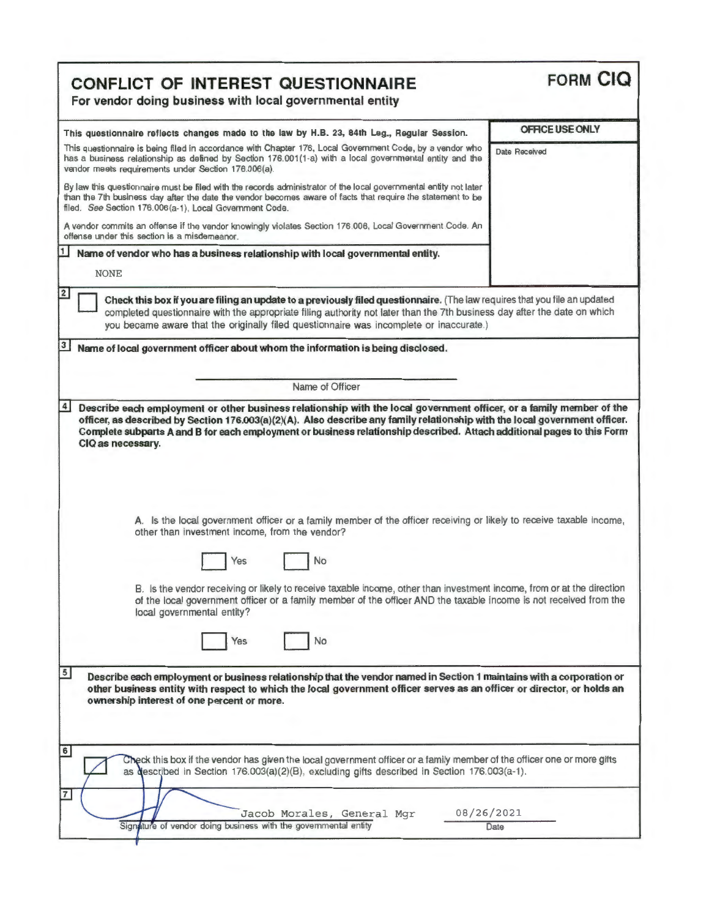| <b>CONFLICT OF INTEREST QUESTIONNAIRE</b><br>For vendor doing business with local governmental entity                                                                                                                                                                                                                                                                                                                                                                                                                                                                              | <b>FORM CIQ</b> |
|------------------------------------------------------------------------------------------------------------------------------------------------------------------------------------------------------------------------------------------------------------------------------------------------------------------------------------------------------------------------------------------------------------------------------------------------------------------------------------------------------------------------------------------------------------------------------------|-----------------|
| This questionnaire reflects changes made to the law by H.B. 23, 84th Leg., Regular Session.                                                                                                                                                                                                                                                                                                                                                                                                                                                                                        | OFFICE USE ONLY |
| This questionnaire is being filed in accordance with Chapter 176, Local Government Code, by a vendor who<br>has a business relationship as defined by Section 176.001(1-a) with a local governmental entity and the<br>vendor meets requirements under Section 176.006(a).                                                                                                                                                                                                                                                                                                         | Date Received   |
| By law this questionnaire must be filed with the records administrator of the local governmental entity not later<br>than the 7th business day after the date the vendor becomes aware of facts that require the statement to be<br>filed. See Section 176.006(a-1), Local Government Code.                                                                                                                                                                                                                                                                                        |                 |
| A vendor commits an offense if the vendor knowingly violates Section 176.006, Local Government Code. An<br>offense under this section is a misdemeanor.                                                                                                                                                                                                                                                                                                                                                                                                                            |                 |
| 11<br>Name of vendor who has a business relationship with local governmental entity.                                                                                                                                                                                                                                                                                                                                                                                                                                                                                               |                 |
| <b>NONE</b>                                                                                                                                                                                                                                                                                                                                                                                                                                                                                                                                                                        |                 |
| Check this box if you are filing an update to a previously filed questionnaire. (The law requires that you file an updated<br>completed questionnaire with the appropriate filing authority not later than the 7th business day after the date on which<br>you became aware that the originally filed questionnaire was incomplete or inaccurate.)<br>3<br>Name of local government officer about whom the information is being disclosed.                                                                                                                                         |                 |
| Name of Officer                                                                                                                                                                                                                                                                                                                                                                                                                                                                                                                                                                    |                 |
|                                                                                                                                                                                                                                                                                                                                                                                                                                                                                                                                                                                    |                 |
| Describe each employment or other business relationship with the local government officer, or a family member of the<br>officer, as described by Section 176.003(a)(2)(A). Also describe any family relationship with the local government officer.<br>Complete subparts A and B for each employment or business relationship described. Attach additional pages to this Form<br>CIQ as necessary.                                                                                                                                                                                 |                 |
| A. Is the local government officer or a family member of the officer receiving or likely to receive taxable income,<br>other than investment income, from the vendor?<br>No<br>B. Is the vendor receiving or likely to receive taxable income, other than investment income, from or at the direction                                                                                                                                                                                                                                                                              |                 |
| of the local government officer or a family member of the officer AND the taxable income is not received from the<br>local governmental entity?                                                                                                                                                                                                                                                                                                                                                                                                                                    |                 |
| Yes<br>No                                                                                                                                                                                                                                                                                                                                                                                                                                                                                                                                                                          |                 |
| $\overline{4}$<br>$\overline{5}$<br>Describe each employment or business relationship that the vendor named in Section 1 maintains with a corporation or<br>other business entity with respect to which the local government officer serves as an officer or director, or holds an<br>ownership interest of one percent or more.<br>$6 \mid$<br>Check this box if the vendor has given the local government officer or a family member of the officer one or more gifts<br>as described in Section $176.003(a)(2)(B)$ , excluding gifts described in Section $176.003(a-1)$ .<br>7 |                 |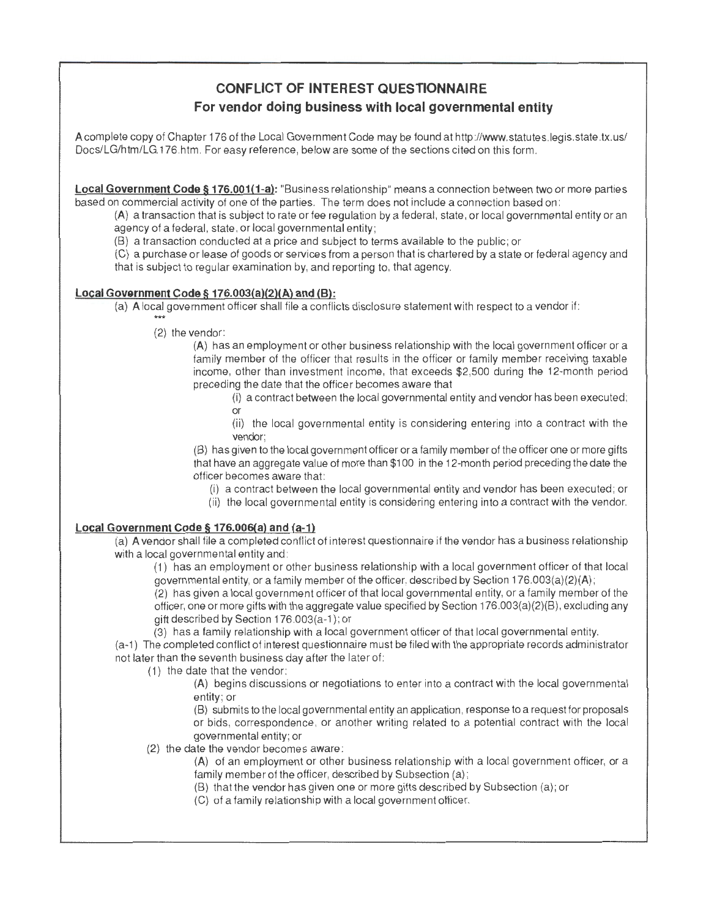# **CONFLICT OF INTEREST QUESTIONNAIRE For vendor doing business with local governmental entity**

A complete copy of Chapter 176 of the Local Government Code may be found at http ://www.statutes .legis.state.tx.us/ Docs/LG/htm/LG.176.htm. For easy reference, below are some of the sections cited on this form.

**Local Government Code§ 176.001(1-a):** "Business relationship" means a connection between two or more parties based on commercial activity of one of the parties. The term does not include a connection based on :

(A) a transaction that is subject to rate or fee regulation by a federal, state , or local governmental entity or an agency of a federal, state , or local governmental entity;

(B) a transaction conducted at a price and subject to terms available to the public ; or

(C) a purchase or lease of goods or services from a person that is chartered by a state or federal agency and that is subject to regular examination by, and reporting to, that agency.

#### **Local Government Code§ 176.003(a)(2)(A) and (8):**

(a) A local government officer shall file a conflicts disclosure statement with respect to a vendor if:

(2) the vendor:

(A} has an employment or other business relationship with the local government officer or a family member of the officer that results in the officer or family member receiving taxable income, other than investment income, that exceeds \$2,500 during the 12-month period preceding the date that the officer becomes aware that

(i) a contract between the local governmental entity and vendor has been executed ; or

(ii) the local governmental entity is considering entering into a contract with the vendor;

(B) has given to the local government officer or a family member of the officer one or more gifts that have an aggregate value of more than \$100 in the 12-month period preceding the date the officer becomes aware that :

- (i) a contract between the local governmental entity and vendor has been executed ; or
- (ii) the local governmental entity is considering entering into a contract with the vendor.

#### **Local Government Code§ 176.00G(a) and (a-1)**

(a) A vendor shall file a completed conflict of interest questionnaire if the vendor has a business relationship with a local governmental entity and:

(1) has an employment or other business relationship with a local government officer of that local governmental entity, or a family member of the officer, described by Section 176.003(a)(2)(A) ;

(2) has given a local government officer of that local governmental entity, or a family member of the officer, one or more gifts with the aggregate value specified by Section 176.003(a)(2)(B), excluding any gift described by Section 176.003(a-1 ); or

 $(3)$  has a family relationship with a local government officer of that local governmental entity.

(a-1) The completed conflict of interest questionnaire must be fi led with the appropriate records administrator not later than the seventh business day after the later of:

(1) the date that the vendor:

(A} begins discussions or negotiations to enter into a contract with the local governmental entity: or

(8) submits to the local governmental entity an application , response to a request for proposals or bids , correspondence , or another writing related to a potential contract with the local governmental entity; or

(2) the date the vendor becomes aware :

(A) of an employment or other business relationship with a local government officer, or a family member of the officer, described by Subsection (a) ;

- (B) that the vendor has given one or more gifts described by Subsection (a) ; or
- (C) of a family relationship with a local government officer.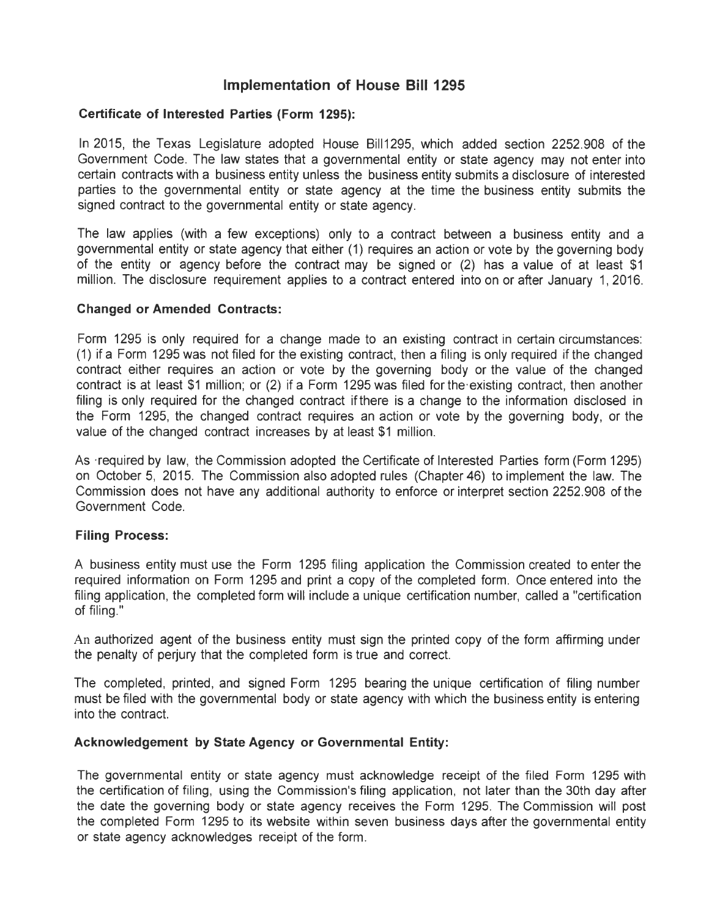### **Implementation of House Bill 1295**

#### **Certificate of Interested Parties (Form 1295):**

In 2015, the Texas Legislature adopted House Bill1295, which added section 2252.908 of the Government Code. The law states that a governmental entity or state agency may not enter into certain contracts with a business entity unless the business entity submits a disclosure of interested parties to the governmental entity or state agency at the time the business entity submits the signed contract to the governmental entity or state agency.

The law applies (with a few exceptions) only to a contract between a business entity and a governmental entity or state agency that either (1) requires an action or vote by the governing body of the entity or agency before the contract may be signed or (2) has a value of at least \$1 million. The disclosure requirement applies to a contract entered into on or after January 1, 2016.

#### **Changed or Amended Contracts:**

Form 1295 is only required for a change made to an existing contract in certain circumstances: (1) if a Form 1295 was not filed for the existing contract, then a filing is only required if the changed contract either requires an action or vote by the governing body or the value of the changed contract is at least \$1 million; or (2) if a Form 1295 was filed for the·existing contract, then another filing is only required for the changed contract if there is a change to the information disclosed in the Form 1295, the changed contract requires an action or vote by the governing body, or the value of the changed contract increases by at least \$1 million.

As ·required by law, the Commission adopted the Certificate of Interested Parties form (Form 1295) on October 5, 2015. The Commission also adopted rules (Chapter 46) to implement the law. The Commission does not have any additional authority to enforce or interpret section 2252. 908 of the Government Code.

### **Filing Process:**

A business entity must use the Form 1295 filing application the Commission created to enter the required information on Form 1295 and print a copy of the completed form. Once entered into the filing application, the completed form will include a unique certification number, called a "certification of filing."

An authorized agent of the business entity must sign the printed copy of the form affirming under the penalty of perjury that the completed form is true and correct.

The completed, printed, and signed Form 1295 bearing the unique certification of filing number must be filed with the governmental body or state agency with which the business entity is entering into the contract.

#### **Acknowledgement by State Agency or Governmental Entity:**

The governmental entity or state agency must acknowledge receipt of the filed Form 1295 with the certification of filing, using the Commission's filing application, not later than the 30th day after the date the governing body or state agency receives the Form 1295. The Commission will post the completed Form 1295 to its website within seven business days after the governmental entity or state agency acknowledges receipt of the form.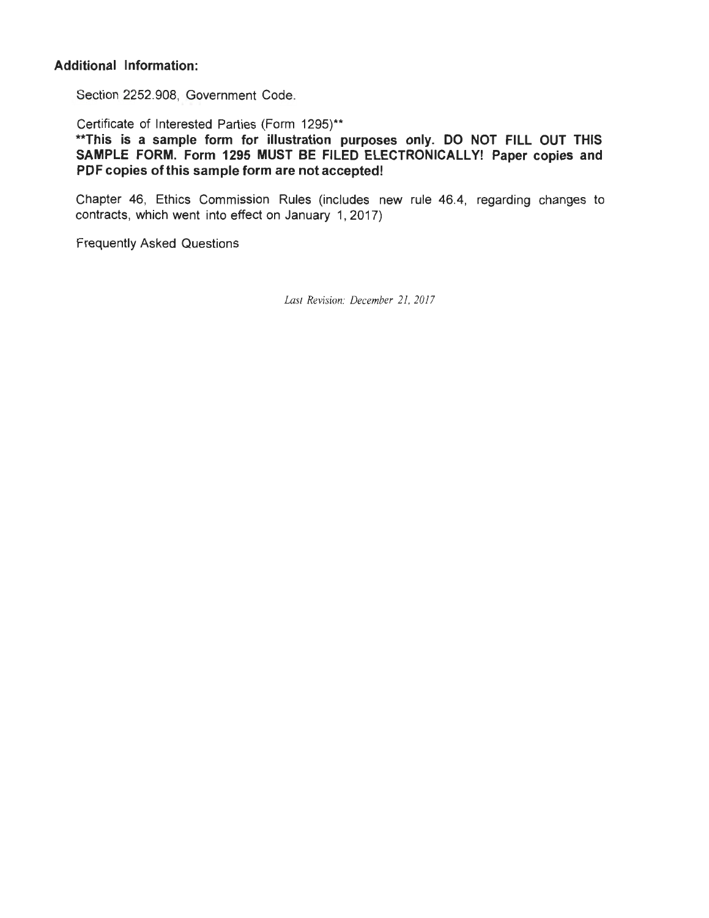### **Additional Information:**

Section 2252.908, Government Code.

Certificate of Interested Parties (Form 1295)\*\*

**\*\*This is a sample form for illustration purposes only. DO NOT FILL OUT THIS SAMPLE FORM. Form 1295 MUST BE FILED ELECTRONICALLY! Paper copies and PDF copies of this sample form are not accepted!** 

Chapter 46, Ethics Commission Rules (includes new rule 46.4, regarding changes to contracts, which went into effect on January 1, 2017)

Frequently Asked Questions

*Last Revision: December 21, 2017*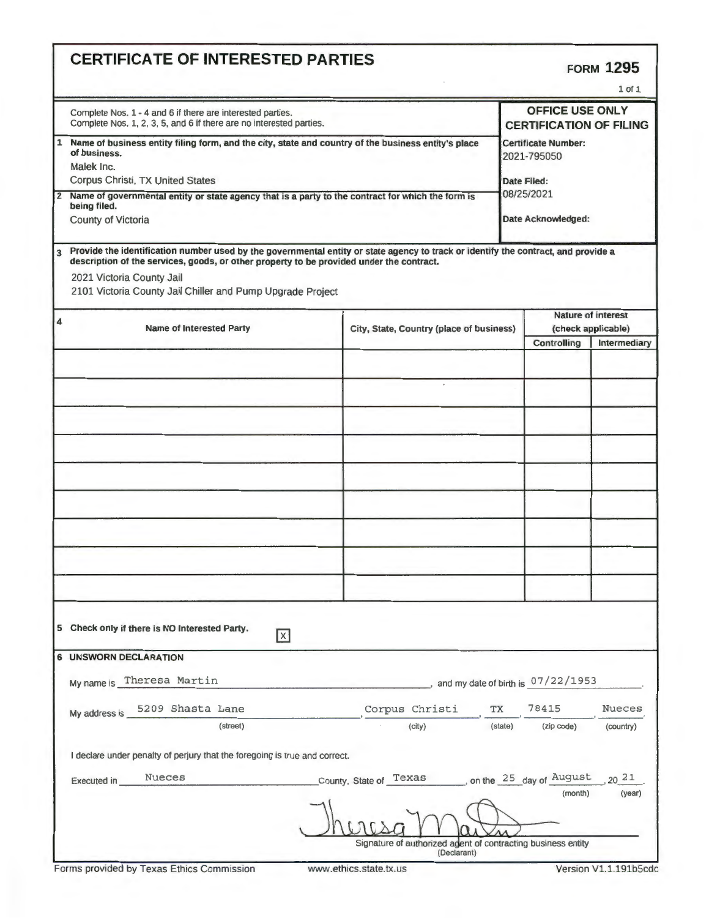# **CERTIFICATE OF INTERESTED PARTIES**

|                                                                                                                                                                                                                                                                                                                         |                                                                                                                                                                                                                                                                                                                           |                                                                             |         |                                                                                              | $1$ of $1$   |  |
|-------------------------------------------------------------------------------------------------------------------------------------------------------------------------------------------------------------------------------------------------------------------------------------------------------------------------|---------------------------------------------------------------------------------------------------------------------------------------------------------------------------------------------------------------------------------------------------------------------------------------------------------------------------|-----------------------------------------------------------------------------|---------|----------------------------------------------------------------------------------------------|--------------|--|
|                                                                                                                                                                                                                                                                                                                         | <b>OFFICE USE ONLY</b><br>Complete Nos. 1 - 4 and 6 if there are interested parties.<br>Complete Nos. 1, 2, 3, 5, and 6 if there are no interested parties.<br><b>CERTIFICATION OF FILING</b>                                                                                                                             |                                                                             |         |                                                                                              |              |  |
| Name of business entity filing form, and the city, state and country of the business entity's place<br>1<br>of business.<br>Malek Inc.<br>Corpus Christi, TX United States<br>2 Name of governmental entity or state agency that is a party to the contract for which the form is<br>being filed.<br>County of Victoria |                                                                                                                                                                                                                                                                                                                           |                                                                             |         | <b>Certificate Number:</b><br>2021-795050<br>Date Filed:<br>08/25/2021<br>Date Acknowledged: |              |  |
|                                                                                                                                                                                                                                                                                                                         |                                                                                                                                                                                                                                                                                                                           |                                                                             |         |                                                                                              |              |  |
| $\overline{\mathbf{3}}$                                                                                                                                                                                                                                                                                                 | Provide the identification number used by the governmental entity or state agency to track or identify the contract, and provide a<br>description of the services, goods, or other property to be provided under the contract.<br>2021 Victoria County Jail<br>2101 Victoria County Jail Chiller and Pump Upgrade Project |                                                                             |         |                                                                                              |              |  |
| 4                                                                                                                                                                                                                                                                                                                       | <b>Name of Interested Party</b>                                                                                                                                                                                                                                                                                           | City, State, Country (place of business)                                    |         | Nature of interest<br>(check applicable)                                                     |              |  |
|                                                                                                                                                                                                                                                                                                                         |                                                                                                                                                                                                                                                                                                                           |                                                                             |         | Controlling                                                                                  | Intermediary |  |
|                                                                                                                                                                                                                                                                                                                         |                                                                                                                                                                                                                                                                                                                           |                                                                             |         |                                                                                              |              |  |
|                                                                                                                                                                                                                                                                                                                         |                                                                                                                                                                                                                                                                                                                           |                                                                             |         |                                                                                              |              |  |
|                                                                                                                                                                                                                                                                                                                         |                                                                                                                                                                                                                                                                                                                           |                                                                             |         |                                                                                              |              |  |
|                                                                                                                                                                                                                                                                                                                         |                                                                                                                                                                                                                                                                                                                           |                                                                             |         |                                                                                              |              |  |
|                                                                                                                                                                                                                                                                                                                         |                                                                                                                                                                                                                                                                                                                           |                                                                             |         |                                                                                              |              |  |
|                                                                                                                                                                                                                                                                                                                         |                                                                                                                                                                                                                                                                                                                           |                                                                             |         |                                                                                              |              |  |
|                                                                                                                                                                                                                                                                                                                         |                                                                                                                                                                                                                                                                                                                           |                                                                             |         |                                                                                              |              |  |
|                                                                                                                                                                                                                                                                                                                         | 5 Check only if there is NO Interested Party.<br>$\boxed{X}$                                                                                                                                                                                                                                                              |                                                                             |         |                                                                                              |              |  |
|                                                                                                                                                                                                                                                                                                                         | <b>6 UNSWORN DECLARATION</b>                                                                                                                                                                                                                                                                                              |                                                                             |         |                                                                                              |              |  |
|                                                                                                                                                                                                                                                                                                                         | My name is Theresa Martin                                                                                                                                                                                                                                                                                                 |                                                                             |         | $\Box$ , and my date of birth is $07/22/1953$                                                |              |  |
|                                                                                                                                                                                                                                                                                                                         | My address is 5209 Shasta Lane                                                                                                                                                                                                                                                                                            | Corpus Christi                                                              | TX      | 78415                                                                                        | Nueces       |  |
|                                                                                                                                                                                                                                                                                                                         | (street)<br>I declare under penalty of perjury that the foregoing is true and correct.                                                                                                                                                                                                                                    | (city)                                                                      | (state) | (zip code)                                                                                   | (country)    |  |
|                                                                                                                                                                                                                                                                                                                         | <b>Nueces</b><br>Executed in                                                                                                                                                                                                                                                                                              | County, State of Texas  on the 25 day of August                             |         |                                                                                              | $20^{21}$    |  |
|                                                                                                                                                                                                                                                                                                                         |                                                                                                                                                                                                                                                                                                                           |                                                                             |         | (month)                                                                                      | (year)       |  |
|                                                                                                                                                                                                                                                                                                                         |                                                                                                                                                                                                                                                                                                                           | Signature of authorized adent of contracting business entity<br>(Declarant) |         |                                                                                              |              |  |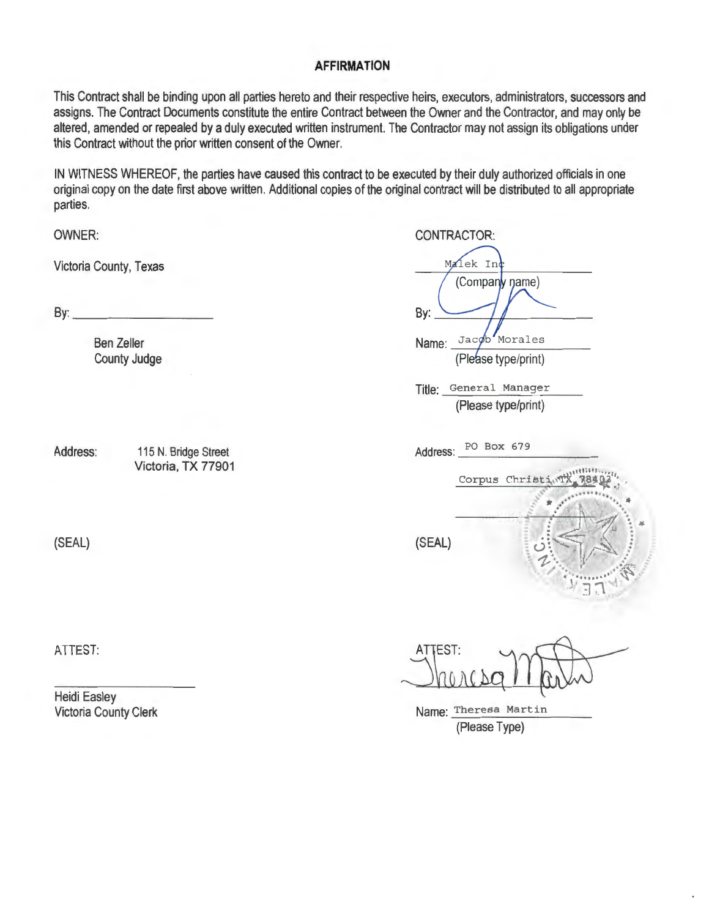### **AFFIRMATION**

This Contract shall be binding upon all parties hereto and their respective heirs, executors, administrators, successors and assigns. The Contract Documents constitute the entire Contract between the Owner and the Contractor, and may only be altered, amended or repealed by a duly executed written instrument. The Contractor may not assign its obligations under this Contract without the prior written consent of the Owner.

IN WITNESS WHEREOF, the parties have caused this contract to be executed by their duly authorized officials in one original copy on the date first above written. Additional copies of the original contract will be distributed to all appropriate parties.

OWNER:

Victoria County, Texas

By: \_\_\_\_\_\_ \_

Ben Zeller County Judge

Address: 115 N. Bridge Street Victoria, TX 77901

(SEAL)

ATTEST:

Heidi Easley Victoria County Clerk

| <b>CONTRACTOR:</b>        |
|---------------------------|
| Malek Inc                 |
| (Company name)            |
| By:                       |
| Morales<br>Jacob<br>Name: |
| (Please type/print)       |
|                           |

Title: General Manager (Please type/print)

Address: PO Box 679

Corpus Christi (SEAL)

**ATTEST:** 

Name: Theresa Martin (Please Type)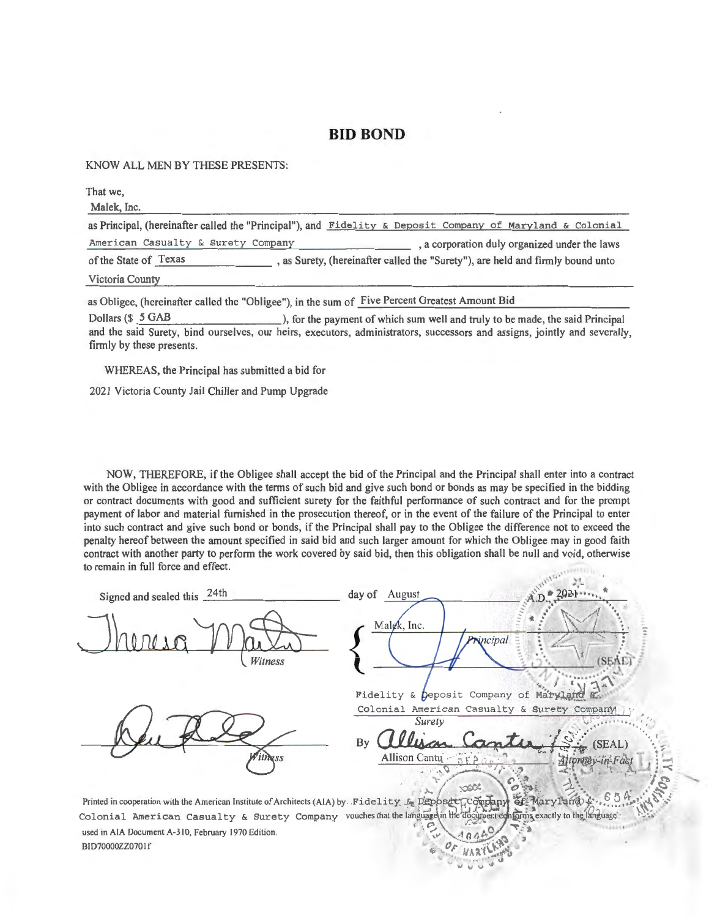#### **BID BOND**

KNOW ALL MEN BY THESE PRESENTS:

That we, Malek, Inc. as Principal, (hereinafter called the "Principal"), and Fidelity & Deposit Company of Maryland & Colonial American Casualty & Surety Company , a corporation duly organized under the laws of the State of Texas , as Surety, (hereinafter called the "Surety"), are held and firmly bound unto Victoria County as Obligee, (hereinafter called the "Obligee"), in the sum of Five Percent Greatest Amount Bid

Dollars (\$5 GAB ), for the payment of which sum well and truly to be made, the said Principal and the said Surety, bind ourselves, our heirs, executors, administrators, successors and assigns, jointly and severally, firmly by these presents.

WHEREAS, the Principal has submitted a bid for

2021 Victoria County Jail Chiller and Pump Upgrade

NOW, THEREFORE, if the Obligee shall accept the bid of the Principal and the Principal shall enter into a contract with the Obligee in accordance with the terms of such bid and give such bond or bonds as may be specified in the bidding or contract documents with good and sufficient surety for the faithful performance of such contract and for the prompt payment of labor and material furnished in the prosecution thereof, or in the event of the failure of the Principal to enter into such contract and give such bond or bonds, if the Principal shall pay to the Obligee the difference not to exceed the penalty hereof between the amount specified in said bid and such larger amount for which the Obligee may in good faith contract with another party to perform the work covered by said bid, then this obligation shall be null and void, otherwise to remain in full force and effect.

Signed and sealed this 24th day of August Malek, Inc.  $\frac{1}{\sqrt{\frac{1}{\sqrt{85}}} \sqrt{1-\frac{1}{10}}}\,$ incipal Witness *(SE)*<br>*/*/*i*:  $\sqrt{7}$ Fidelity & peposit Company of Maryla Colonial American Casualty & Surety Company *Surety* .~~ ......... / *:·,*   $By$  allisan Canter,  $i \in \{S\}$  (SEAL) Allison Cantu.  $\sqrt{550}$  ...  $\sqrt{11}$  ...  $\sqrt{11}$ 2.85  $\frac{1}{2}$ .  $\frac{1}{2}$   $\frac{1}{2}$   $\frac{1}{2}$ . . . j' ,:;::c: *<sup>o</sup> ".* - ·-. . . *.:* " Printed in cooperation with the American Institute of Architects (AIA) by Fidelity & Deposet  $\c{c}$  on  $\c{F}$  ary  $\c{F}$  Maryl and  $\c{F}$ . Colonial American Casualty & Surety Company vouches that the language in the document conforms exactly to the language . c~ *,r:-...;,;. -"'* .... •. ,,, 0 *:* " . used in AIA Document A-310, February 1970 Edition.  $C = 40.462$ 

**AYSIFING** ·~ ~· ~~ " "

BID70000ZZ070 If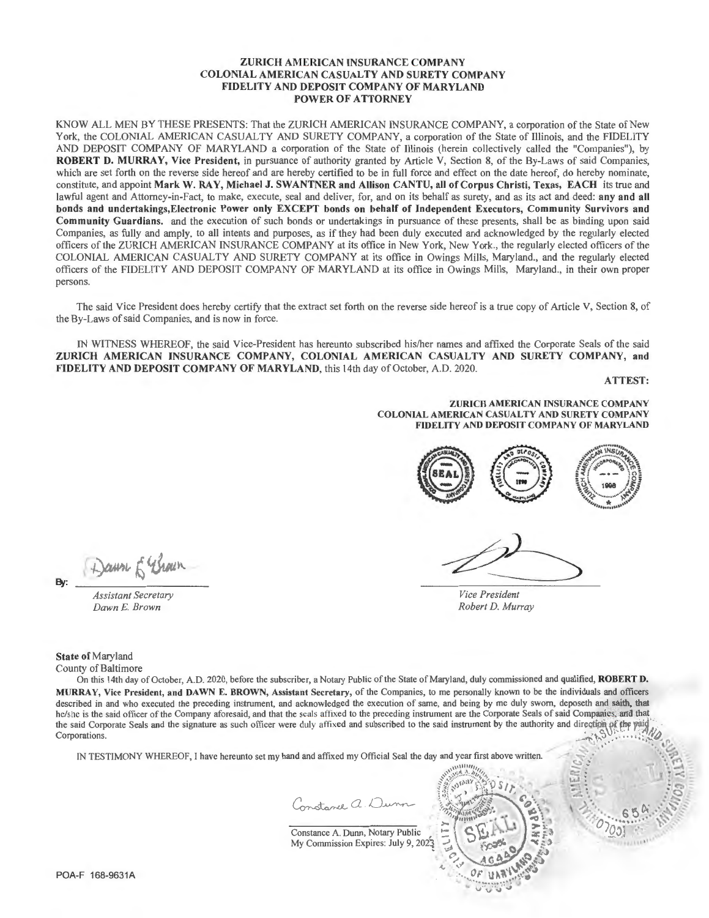#### ZURICH AMERICAN INSURANCE COMPANY COLONIAL AMERICAN CASUALTY AND SURETY COMPANY FIDELITY AND DEPOSIT COMPANY OF MARYLAND POWER OF ATTORNEY

KNOW ALL MEN BY THESE PRESENTS: That the ZURICH AMERICAN INSURANCE COMPANY, a corporation of the State of New York, the COLONIAL AMERICAN CASUALTY AND SURETY COMPANY, a corporation of the State of Illinois, and the FIDELITY AND DEPOSIT COMPANY OF MARYLAND a corporation of the State of Illinois (herein collectively called the "Companies"), by ROBERT D. MURRAY, Vice President, in pursuance of authority granted by Article V, Section 8, of the By-Laws of said Companies, which are set forth on the reverse side hereof and are hereby certified to be in full force and effect on the date hereof, do hereby nominate, constitute, and appoint Mark W. RAY, Michael J. SWA TNER a nd Allison CANTU, all of Corpus Christi, Texas, EACH its true and lawful agent and Attorney-in-Fact, to make, execute, seal and deliver, for, and on its behalf as surety, and as its act and deed: any and all bonds and undertakings, Electronic Power only EXCEPT bonds on behalf of Independent Executors, Community Survivors and Community Guardians. and the execution of such bonds or undertakings in pursuance of these presents, shall be as binding upon said Companies, as fully and amply, to all intents and purposes, as if they had been duly executed and acknowledged by the regularly elected officers of the ZURICH AMERICAN INSURANCE COMPANY at its office in New York, New York., the regularly elected officers of the COLONIAL AMERICAN CASUALTY AND SURETY COMPANY at its office in Owings Mills, Maryland., and the regularly elected officers of the FIDELITY AND DEPOSIT COMPANY OF MARYLAND at its office in Owings Mills, Maryland., in their own proper persons.

The said Vice President does hereby certify that the extract set forth on the reverse side hereof is a true copy of Article V, Section 8, of the By-Laws of said Companies, and is now in force.

IN WITNESS WHEREOF, the said Vice-President has hereunto subscribed his/her names and affixed the Corporate Seals of the said ZURICH AMERICAN INSURANCE COMPANY, COLONIAL AMERICAN CASUALTY AND SURETY COMPANY, and FIDELITY AND DEPOSIT COMPANY OF MARYLAND, this 14th day of October, A.D. 2020.

ATTEST:

ZURICH AMERICAN INSURANCE COMPANY COLONIAL AMERICAN CASUALTY AND SURETY COMPANY FfDELlTY AND DEPOSIT COMPANY OF MARYLAND



*Vice President Robert D. Murray* 

Dawn & Brown By:

*Assistant Secretary Dawn* £. *Brown* 

State of Maryland County of Baltimore

On this 14th day of October, A.D. 2020, before the subscriber, a Notary Public of the State of Maryland, duly commissioned and qualified, ROBERT D. MURRAY, Vice President, and DAWN E. BROWN, Assistant Secretary, of the Companies, to me personally known to be the individuals and officers described in and who executed the preceding instrument, and acknowledged the execution of same, and being by me duly sworn, deposeth and saith, that he/she is the said officer of the Company aforesaid, and that the seals affixed to the preceding instrument are the Corporate Seals of said Companies, and that the said Corporate Seals and the signature as such officer were duly affixed and subscribed to the said instrument by the authority and direction Corporations.

IN TESTIMONY WHEREOF, I have hereunto set my hand and affixed my Official Seal the day and year first above written.

Constance a. Dunn

Constance A. Dunn, Notary Public My Commission Expires: July 9, 2023



~~

POA-F 168-9631A